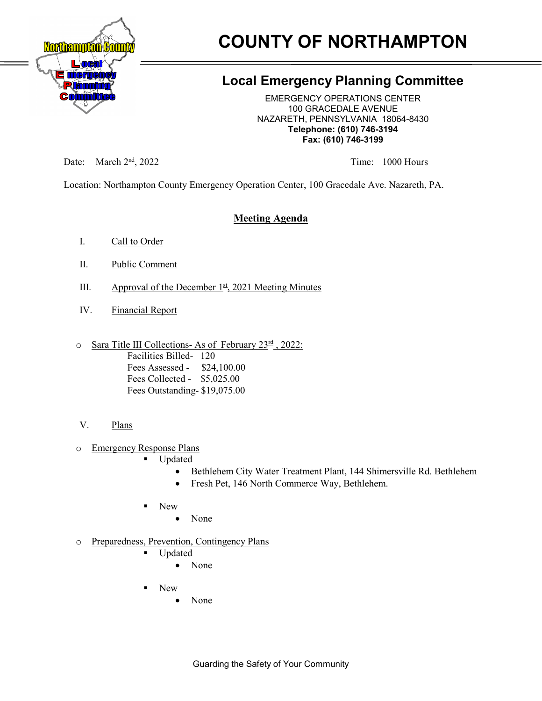

# **COUNTY OF NORTHAMPTON**

## **Local Emergency Planning Committee**

EMERGENCY OPERATIONS CENTER 100 GRACEDALE AVENUE NAZARETH, PENNSYLVANIA 18064-8430 **Telephone: (610) 746-3194 Fax: (610) 746-3199**

Date: March 2<sup>nd</sup>, 2022 Time: 1000 Hours

Location: Northampton County Emergency Operation Center, 100 Gracedale Ave. Nazareth, PA.

### **Meeting Agenda**

- I. Call to Order
- II. Public Comment
- III. Approval of the December  $1<sup>st</sup>$ , 2021 Meeting Minutes
- IV. Financial Report
- o Sara Title III Collections- As of February 23<sup>rd</sup>, 2022:

Facilities Billed- 120 Fees Assessed - \$24,100.00 Fees Collected - \$5,025.00 Fees Outstanding- \$19,075.00

#### V. Plans

o Emergency Response Plans

- Updated
	- Bethlehem City Water Treatment Plant, 144 Shimersville Rd. Bethlehem
	- Fresh Pet, 146 North Commerce Way, Bethlehem.
- New
	- None
- o Preparedness, Prevention, Contingency Plans
	- Updated
		- None
	- New
		- None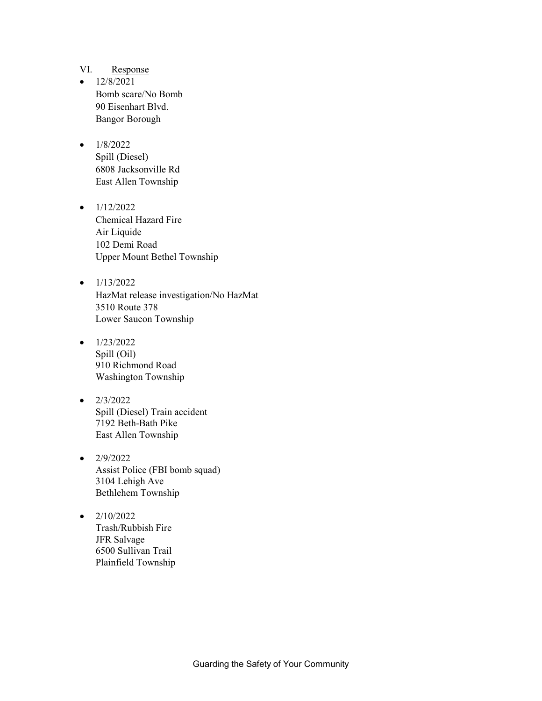#### VI. Response

 $\bullet$  12/8/2021 Bomb scare/No Bomb 90 Eisenhart Blvd. Bangor Borough

#### $\bullet$  1/8/2022

Spill (Diesel) 6808 Jacksonville Rd East Allen Township

- $\bullet$  1/12/2022 Chemical Hazard Fire Air Liquide 102 Demi Road Upper Mount Bethel Township
- $\bullet$  1/13/2022 HazMat release investigation/No HazMat 3510 Route 378 Lower Saucon Township
- $\bullet$  1/23/2022 Spill (Oil) 910 Richmond Road Washington Township
- $\bullet$  2/3/2022 Spill (Diesel) Train accident 7192 Beth-Bath Pike East Allen Township
- $\bullet$  2/9/2022 Assist Police (FBI bomb squad) 3104 Lehigh Ave Bethlehem Township
- $2/10/2022$ Trash/Rubbish Fire JFR Salvage 6500 Sullivan Trail Plainfield Township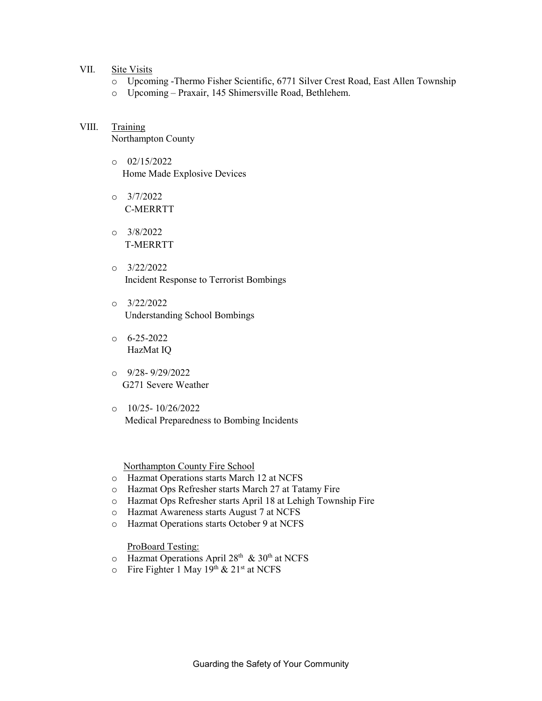#### VII. Site Visits

- o Upcoming -Thermo Fisher Scientific, 6771 Silver Crest Road, East Allen Township
- o Upcoming Praxair, 145 Shimersville Road, Bethlehem.

#### VIII. Training Northampton County

- o 02/15/2022 Home Made Explosive Devices
- $O = \frac{3}{7}/2022$ C-MERRTT
- o 3/8/2022 T-MERRTT
- o 3/22/2022 Incident Response to Terrorist Bombings
- o 3/22/2022 Understanding School Bombings
- $6 6 25 2022$ HazMat IQ
- $O = \frac{9}{28} \frac{9}{29} \cdot \frac{2022}{2022}$ G271 Severe Weather
- o 10/25- 10/26/2022 Medical Preparedness to Bombing Incidents

Northampton County Fire School

- o Hazmat Operations starts March 12 at NCFS
- o Hazmat Ops Refresher starts March 27 at Tatamy Fire
- o Hazmat Ops Refresher starts April 18 at Lehigh Township Fire
- o Hazmat Awareness starts August 7 at NCFS
- o Hazmat Operations starts October 9 at NCFS

ProBoard Testing:

- o Hazmat Operations April 28<sup>th</sup> & 30<sup>th</sup> at NCFS
- $\circ$  Fire Fighter 1 May 19<sup>th</sup> & 21<sup>st</sup> at NCFS